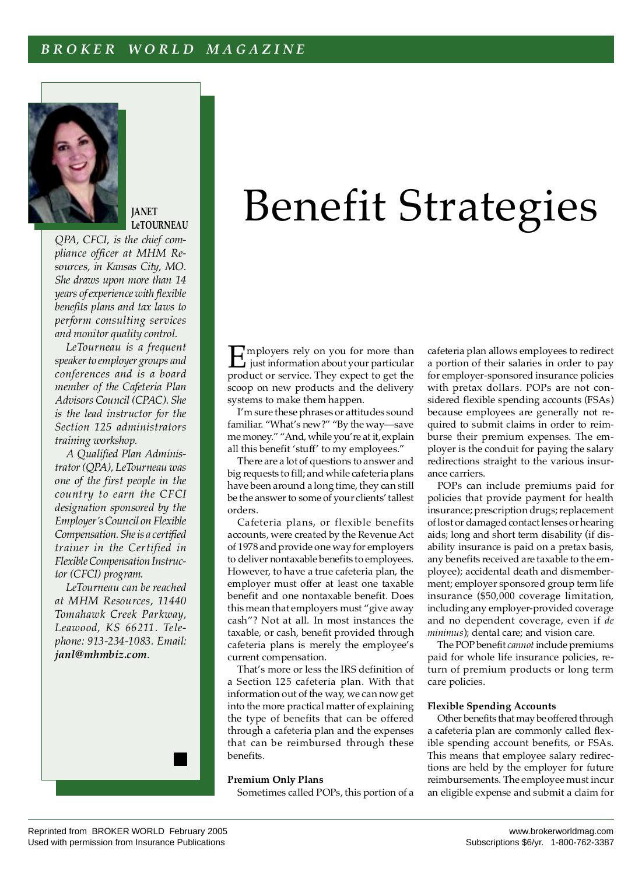# *B R O K E R W O R L D M A G A Z I N E*



**JANET LeTOURNEAU**

*QPA, CFCI, is the chief compliance officer at MHM Resources, in Kansas City, MO. She draws upon more than 14 years of experience with flexible benefits plans and tax laws to perform consulting services and monitor quality control.*

*LeTourneau is a frequent speaker to employer groups and conferences and is a board member of the Cafeteria Plan Advisors Council (CPAC). She is the lead instructor for the Section 125 administrators training workshop.*

*A Qualified Plan Administrator (QPA), LeTourneau was one of the first people in the country to earn the CFCI designation sponsored by the Employer's Council on Flexible Compensation. She is a certified trainer in the Certified in Flexible Compensation Instructor (CFCI) program.*

*LeTourneau can be reached at MHM Resources, 11440 Tomahawk Creek Parkway, Leawood, KS 66211. Telephone: 913-234-1083. Email: janl@mhmbiz.com*.

# Benefit Strategies

Employers rely on you for more than<br>just information about your particular<br>product or somice. They expect to get the product or service. They expect to get the scoop on new products and the delivery systems to make them happen.

I'm sure these phrases or attitudes sound familiar. "What's new?" "By the way—save me money." "And, while you're at it, explain all this benefit 'stuff' to my employees."

There are a lot of questions to answer and big requests to fill; and while cafeteria plans have been around a long time, they can still be the answer to some of your clients' tallest orders.

Cafeteria plans, or flexible benefits accounts, were created by the Revenue Act of 1978 and provide one way for employers to deliver nontaxable benefits to employees. However, to have a true cafeteria plan, the employer must offer at least one taxable benefit and one nontaxable benefit. Does this mean that employers must "give away cash"? Not at all. In most instances the taxable, or cash, benefit provided through cafeteria plans is merely the employee's current compensation.

That's more or less the IRS definition of a Section 125 cafeteria plan. With that information out of the way, we can now get into the more practical matter of explaining the type of benefits that can be offered through a cafeteria plan and the expenses that can be reimbursed through these benefits.

### **Premium Only Plans**

Sometimes called POPs, this portion of a

cafeteria plan allows employees to redirect a portion of their salaries in order to pay for employer-sponsored insurance policies with pretax dollars. POPs are not considered flexible spending accounts (FSAs) because employees are generally not required to submit claims in order to reimburse their premium expenses. The employer is the conduit for paying the salary redirections straight to the various insurance carriers.

POPs can include premiums paid for policies that provide payment for health insurance; prescription drugs; replacement of lost or damaged contact lenses or hearing aids; long and short term disability (if disability insurance is paid on a pretax basis, any benefits received are taxable to the employee); accidental death and dismemberment; employer sponsored group term life insurance (\$50,000 coverage limitation, including any employer-provided coverage and no dependent coverage, even if *de minimus*); dental care; and vision care.

The POP benefit *cannot* include premiums paid for whole life insurance policies, return of premium products or long term care policies.

#### **Flexible Spending Accounts**

Other benefits that may be offered through a cafeteria plan are commonly called flexible spending account benefits, or FSAs. This means that employee salary redirections are held by the employer for future reimbursements. The employee must incur an eligible expense and submit a claim for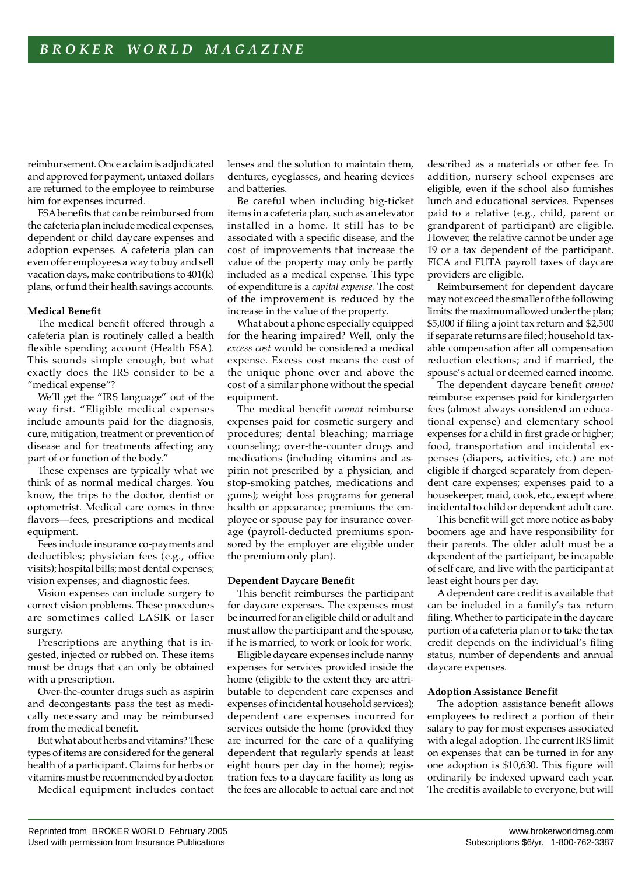reimbursement. Once a claim is adjudicated and approved for payment, untaxed dollars are returned to the employee to reimburse him for expenses incurred.

FSA benefits that can be reimbursed from the cafeteria plan include medical expenses, dependent or child daycare expenses and adoption expenses. A cafeteria plan can even offer employees a way to buy and sell vacation days, make contributions to 401(k) plans, or fund their health savings accounts.

# **Medical Benefit**

The medical benefit offered through a cafeteria plan is routinely called a health flexible spending account (Health FSA). This sounds simple enough, but what exactly does the IRS consider to be a "medical expense"?

We'll get the "IRS language" out of the way first. "Eligible medical expenses include amounts paid for the diagnosis, cure, mitigation, treatment or prevention of disease and for treatments affecting any part of or function of the body."

These expenses are typically what we think of as normal medical charges. You know, the trips to the doctor, dentist or optometrist. Medical care comes in three flavors—fees, prescriptions and medical equipment.

Fees include insurance co-payments and deductibles; physician fees (e.g., office visits); hospital bills; most dental expenses; vision expenses; and diagnostic fees.

Vision expenses can include surgery to correct vision problems. These procedures are sometimes called LASIK or laser surgery.

Prescriptions are anything that is ingested, injected or rubbed on. These items must be drugs that can only be obtained with a prescription.

Over-the-counter drugs such as aspirin and decongestants pass the test as medically necessary and may be reimbursed from the medical benefit.

But what about herbs and vitamins? These types of items are considered for the general health of a participant. Claims for herbs or vitamins must be recommended by a doctor.

Medical equipment includes contact

lenses and the solution to maintain them, dentures, eyeglasses, and hearing devices and batteries.

Be careful when including big-ticket items in a cafeteria plan, such as an elevator installed in a home. It still has to be associated with a specific disease, and the cost of improvements that increase the value of the property may only be partly included as a medical expense. This type of expenditure is a *capital expense.* The cost of the improvement is reduced by the increase in the value of the property.

What about a phone especially equipped for the hearing impaired? Well, only the *excess cost* would be considered a medical expense. Excess cost means the cost of the unique phone over and above the cost of a similar phone without the special equipment.

The medical benefit *cannot* reimburse expenses paid for cosmetic surgery and procedures; dental bleaching; marriage counseling; over-the-counter drugs and medications (including vitamins and aspirin not prescribed by a physician, and stop-smoking patches, medications and gums); weight loss programs for general health or appearance; premiums the employee or spouse pay for insurance coverage (payroll-deducted premiums sponsored by the employer are eligible under the premium only plan).

# **Dependent Daycare Benefit**

This benefit reimburses the participant for daycare expenses. The expenses must be incurred for an eligible child or adult and must allow the participant and the spouse, if he is married, to work or look for work.

Eligible daycare expenses include nanny expenses for services provided inside the home (eligible to the extent they are attributable to dependent care expenses and expenses of incidental household services); dependent care expenses incurred for services outside the home (provided they are incurred for the care of a qualifying dependent that regularly spends at least eight hours per day in the home); registration fees to a daycare facility as long as the fees are allocable to actual care and not described as a materials or other fee. In addition, nursery school expenses are eligible, even if the school also furnishes lunch and educational services. Expenses paid to a relative (e.g., child, parent or grandparent of participant) are eligible. However, the relative cannot be under age 19 or a tax dependent of the participant. FICA and FUTA payroll taxes of daycare providers are eligible.

Reimbursement for dependent daycare may not exceed the smaller of the following limits: the maximum allowed under the plan; \$5,000 if filing a joint tax return and \$2,500 if separate returns are filed; household taxable compensation after all compensation reduction elections; and if married, the spouse's actual or deemed earned income.

The dependent daycare benefit *cannot* reimburse expenses paid for kindergarten fees (almost always considered an educational expense) and elementary school expenses for a child in first grade or higher; food, transportation and incidental expenses (diapers, activities, etc.) are not eligible if charged separately from dependent care expenses; expenses paid to a housekeeper, maid, cook, etc., except where incidental to child or dependent adult care.

This benefit will get more notice as baby boomers age and have responsibility for their parents. The older adult must be a dependent of the participant, be incapable of self care, and live with the participant at least eight hours per day.

A dependent care credit is available that can be included in a family's tax return filing. Whether to participate in the daycare portion of a cafeteria plan or to take the tax credit depends on the individual's filing status, number of dependents and annual daycare expenses.

# **Adoption Assistance Benefit**

The adoption assistance benefit allows employees to redirect a portion of their salary to pay for most expenses associated with a legal adoption. The current IRS limit on expenses that can be turned in for any one adoption is \$10,630. This figure will ordinarily be indexed upward each year. The credit is available to everyone, but will